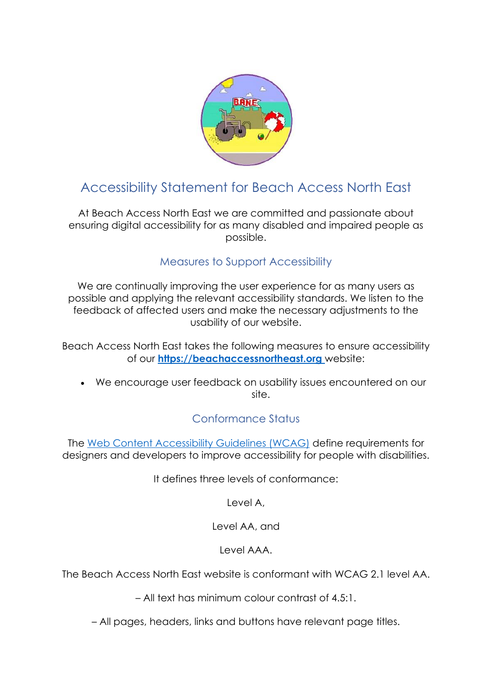

# Accessibility Statement for Beach Access North East

At Beach Access North East we are committed and passionate about ensuring digital accessibility for as many disabled and impaired people as possible.

#### Measures to Support Accessibility

We are continually improving the user experience for as many users as possible and applying the relevant accessibility standards. We listen to the feedback of affected users and make the necessary adjustments to the usability of our website.

Beach Access North East takes the following measures to ensure accessibility of our **[https://beachaccessnortheast.org](https://beachaccessnortheast.org/)** website:

• We encourage user feedback on usability issues encountered on our site.

# Conformance Status

The [Web Content Accessibility Guidelines \(WCAG\)](https://www.w3.org/WAI/standards-guidelines/wcag/) define requirements for designers and developers to improve accessibility for people with disabilities.

It defines three levels of conformance:

Level A,

Level AA, and

Level AAA.

The Beach Access North East website is conformant with WCAG 2.1 level AA.

– All text has minimum colour contrast of 4.5:1.

– All pages, headers, links and buttons have relevant page titles.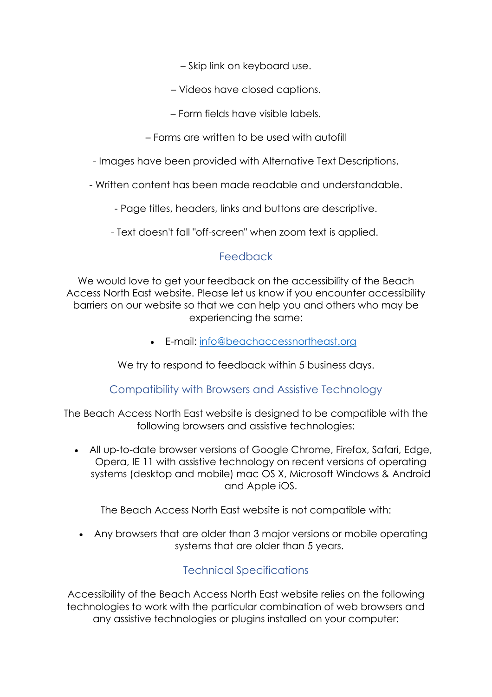– Skip link on keyboard use.

- Videos have closed captions.
- Form fields have visible labels.
- Forms are written to be used with autofill

- Images have been provided with Alternative Text Descriptions,

- Written content has been made readable and understandable.

- Page titles, headers, links and buttons are descriptive.

- Text doesn't fall "off-screen" when zoom text is applied.

## **Feedback**

We would love to get your feedback on the accessibility of the Beach Access North East website. Please let us know if you encounter accessibility barriers on our website so that we can help you and others who may be experiencing the same:

• E-mail: [info@beachaccessnortheast.org](mailto:info@beachaccessnortheast.org)

We try to respond to feedback within 5 business days.

#### Compatibility with Browsers and Assistive Technology

The Beach Access North East website is designed to be compatible with the following browsers and assistive technologies:

• All up-to-date browser versions of Google Chrome, Firefox, Safari, Edge, Opera, IE 11 with assistive technology on recent versions of operating systems (desktop and mobile) mac OS X, Microsoft Windows & Android and Apple iOS.

The Beach Access North East website is not compatible with:

• Any browsers that are older than 3 major versions or mobile operating systems that are older than 5 years.

## Technical Specifications

Accessibility of the Beach Access North East website relies on the following technologies to work with the particular combination of web browsers and any assistive technologies or plugins installed on your computer: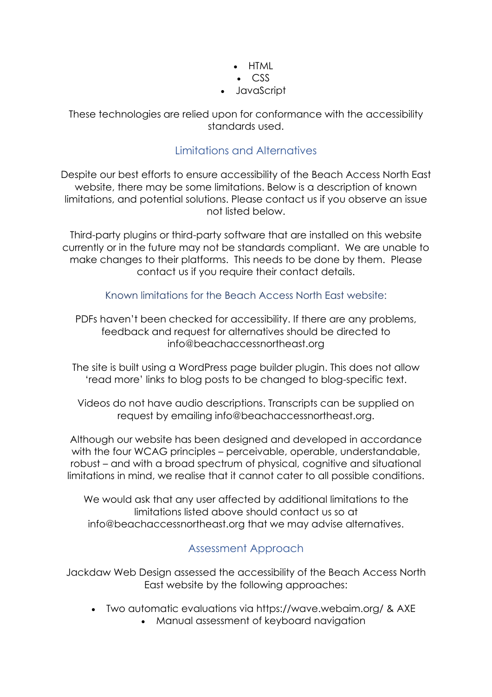• HTML • CSS • JavaScript

These technologies are relied upon for conformance with the accessibility standards used.

### Limitations and Alternatives

Despite our best efforts to ensure accessibility of the Beach Access North East website, there may be some limitations. Below is a description of known limitations, and potential solutions. Please contact us if you observe an issue not listed below.

Third-party plugins or third-party software that are installed on this website currently or in the future may not be standards compliant. We are unable to make changes to their platforms. This needs to be done by them. Please contact us if you require their contact details.

Known limitations for the Beach Access North East website:

PDFs haven't been checked for accessibility. If there are any problems, feedback and request for alternatives should be directed to info@beachaccessnortheast.org

The site is built using a WordPress page builder plugin. This does not allow 'read more' links to blog posts to be changed to blog-specific text.

Videos do not have audio descriptions. Transcripts can be supplied on request by emailing info@beachaccessnortheast.org.

Although our website has been designed and developed in accordance with the four WCAG principles – perceivable, operable, understandable, robust – and with a broad spectrum of physical, cognitive and situational limitations in mind, we realise that it cannot cater to all possible conditions.

We would ask that any user affected by additional limitations to the limitations listed above should contact us so at info@beachaccessnortheast.org that we may advise alternatives.

# Assessment Approach

Jackdaw Web Design assessed the accessibility of the Beach Access North East website by the following approaches:

- Two automatic evaluations via https://wave.webaim.org/ & AXE
	- Manual assessment of keyboard navigation